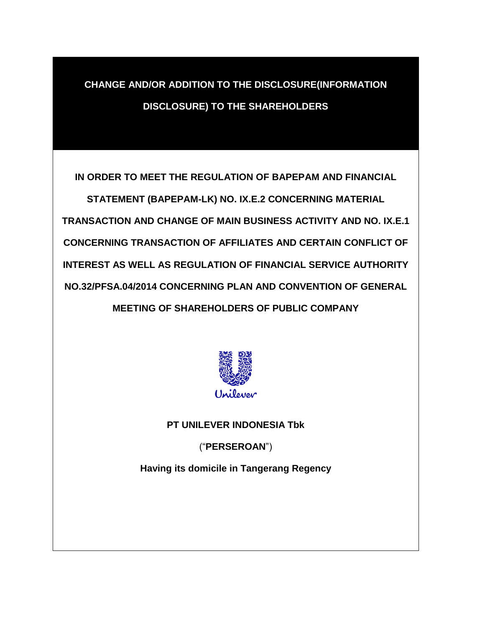## **CHANGE AND/OR ADDITION TO THE DISCLOSURE(INFORMATION DISCLOSURE) TO THE SHAREHOLDERS**

**IN ORDER TO MEET THE REGULATION OF BAPEPAM AND FINANCIAL** 

**STATEMENT (BAPEPAM-LK) NO. IX.E.2 CONCERNING MATERIAL TRANSACTION AND CHANGE OF MAIN BUSINESS ACTIVITY AND NO. IX.E.1 CONCERNING TRANSACTION OF AFFILIATES AND CERTAIN CONFLICT OF INTEREST AS WELL AS REGULATION OF FINANCIAL SERVICE AUTHORITY NO.32/PFSA.04/2014 CONCERNING PLAN AND CONVENTION OF GENERAL MEETING OF SHAREHOLDERS OF PUBLIC COMPANY** 



**PT UNILEVER INDONESIA Tbk**

("**PERSEROAN**")

**Having its domicile in Tangerang Regency**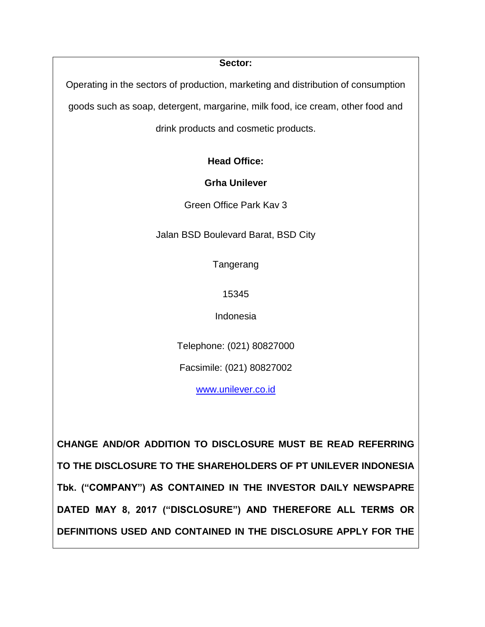**Sector:**

Operating in the sectors of production, marketing and distribution of consumption

goods such as soap, detergent, margarine, milk food, ice cream, other food and

drink products and cosmetic products.

**Head Office:**

**Grha Unilever**

Green Office Park Kav 3

Jalan BSD Boulevard Barat, BSD City

Tangerang

15345

Indonesia

Telephone: (021) 80827000

Facsimile: (021) 80827002

[www.unilever.co.id](file:///C:/Users/reski.damayanti/AppData/Local/Microsoft/Windows/Temporary%20Internet%20Files/Content.Outlook/J17XUSGS/www.astra.co.id)

**CHANGE AND/OR ADDITION TO DISCLOSURE MUST BE READ REFERRING TO THE DISCLOSURE TO THE SHAREHOLDERS OF PT UNILEVER INDONESIA Tbk. ("COMPANY") AS CONTAINED IN THE INVESTOR DAILY NEWSPAPRE DATED MAY 8, 2017 ("DISCLOSURE") AND THEREFORE ALL TERMS OR DEFINITIONS USED AND CONTAINED IN THE DISCLOSURE APPLY FOR THE**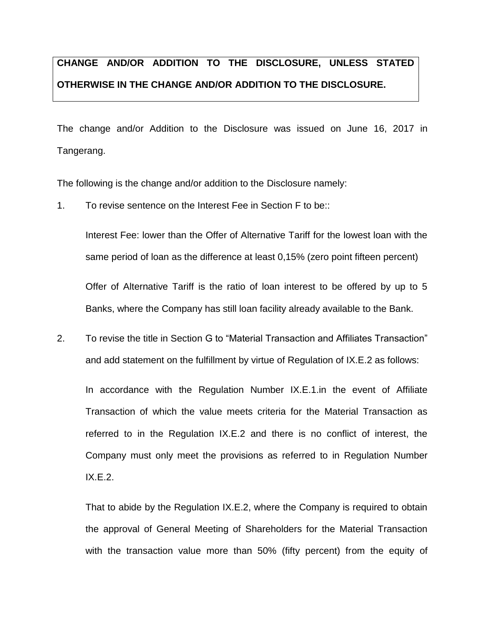# **CHANGE AND/OR ADDITION TO THE DISCLOSURE, UNLESS STATED OTHERWISE IN THE CHANGE AND/OR ADDITION TO THE DISCLOSURE.**

The change and/or Addition to the Disclosure was issued on June 16, 2017 in Tangerang.

The following is the change and/or addition to the Disclosure namely:

1. To revise sentence on the Interest Fee in Section F to be::

Interest Fee: lower than the Offer of Alternative Tariff for the lowest loan with the same period of loan as the difference at least 0,15% (zero point fifteen percent)

Offer of Alternative Tariff is the ratio of loan interest to be offered by up to 5 Banks, where the Company has still loan facility already available to the Bank.

2. To revise the title in Section G to "Material Transaction and Affiliates Transaction" and add statement on the fulfillment by virtue of Regulation of IX.E.2 as follows:

In accordance with the Regulation Number IX.E.1.in the event of Affiliate Transaction of which the value meets criteria for the Material Transaction as referred to in the Regulation IX.E.2 and there is no conflict of interest, the Company must only meet the provisions as referred to in Regulation Number IX.E.2.

That to abide by the Regulation IX.E.2, where the Company is required to obtain the approval of General Meeting of Shareholders for the Material Transaction with the transaction value more than 50% (fifty percent) from the equity of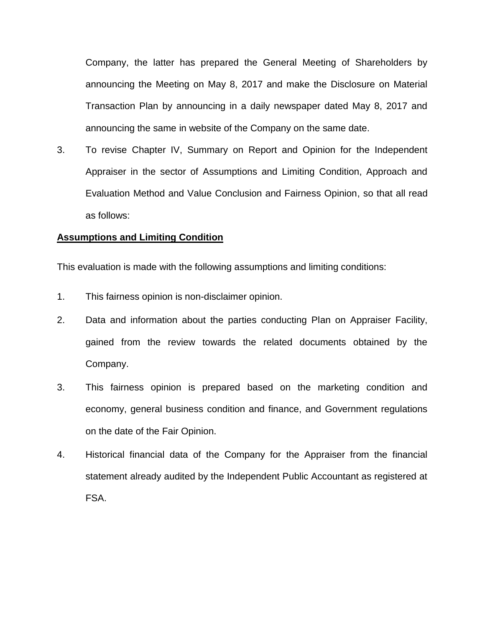Company, the latter has prepared the General Meeting of Shareholders by announcing the Meeting on May 8, 2017 and make the Disclosure on Material Transaction Plan by announcing in a daily newspaper dated May 8, 2017 and announcing the same in website of the Company on the same date.

3. To revise Chapter IV, Summary on Report and Opinion for the Independent Appraiser in the sector of Assumptions and Limiting Condition, Approach and Evaluation Method and Value Conclusion and Fairness Opinion, so that all read as follows:

#### **Assumptions and Limiting Condition**

This evaluation is made with the following assumptions and limiting conditions:

- 1. This fairness opinion is non-disclaimer opinion.
- 2. Data and information about the parties conducting Plan on Appraiser Facility, gained from the review towards the related documents obtained by the Company.
- 3. This fairness opinion is prepared based on the marketing condition and economy, general business condition and finance, and Government regulations on the date of the Fair Opinion.
- 4. Historical financial data of the Company for the Appraiser from the financial statement already audited by the Independent Public Accountant as registered at FSA.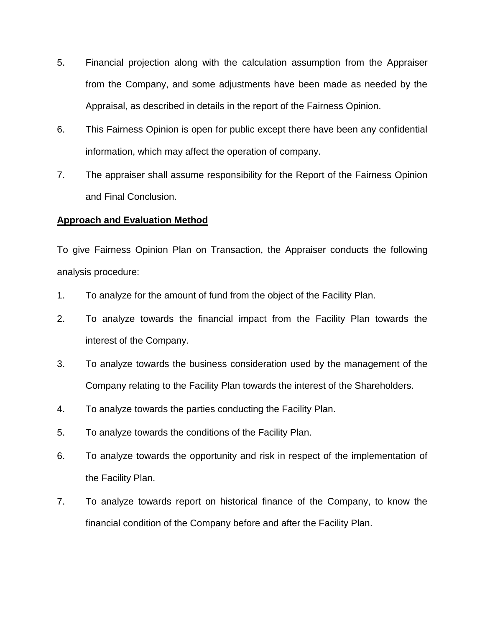- 5. Financial projection along with the calculation assumption from the Appraiser from the Company, and some adjustments have been made as needed by the Appraisal, as described in details in the report of the Fairness Opinion.
- 6. This Fairness Opinion is open for public except there have been any confidential information, which may affect the operation of company.
- 7. The appraiser shall assume responsibility for the Report of the Fairness Opinion and Final Conclusion.

### **Approach and Evaluation Method**

To give Fairness Opinion Plan on Transaction, the Appraiser conducts the following analysis procedure:

- 1. To analyze for the amount of fund from the object of the Facility Plan.
- 2. To analyze towards the financial impact from the Facility Plan towards the interest of the Company.
- 3. To analyze towards the business consideration used by the management of the Company relating to the Facility Plan towards the interest of the Shareholders.
- 4. To analyze towards the parties conducting the Facility Plan.
- 5. To analyze towards the conditions of the Facility Plan.
- 6. To analyze towards the opportunity and risk in respect of the implementation of the Facility Plan.
- 7. To analyze towards report on historical finance of the Company, to know the financial condition of the Company before and after the Facility Plan.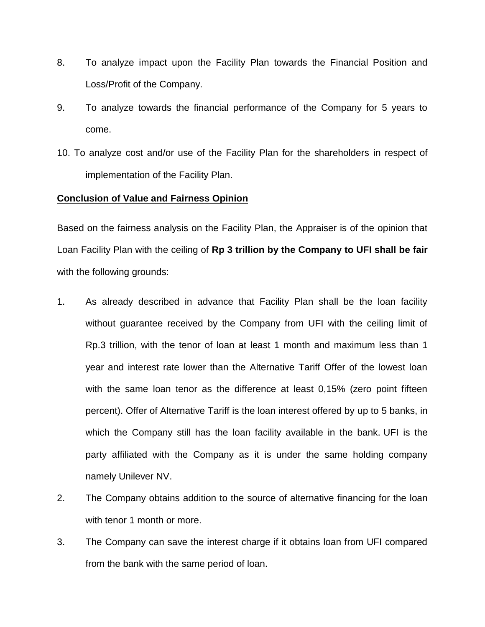- 8. To analyze impact upon the Facility Plan towards the Financial Position and Loss/Profit of the Company.
- 9. To analyze towards the financial performance of the Company for 5 years to come.
- 10. To analyze cost and/or use of the Facility Plan for the shareholders in respect of implementation of the Facility Plan.

#### **Conclusion of Value and Fairness Opinion**

Based on the fairness analysis on the Facility Plan, the Appraiser is of the opinion that Loan Facility Plan with the ceiling of **Rp 3 trillion by the Company to UFI shall be fair**  with the following grounds:

- 1. As already described in advance that Facility Plan shall be the loan facility without guarantee received by the Company from UFI with the ceiling limit of Rp.3 trillion, with the tenor of loan at least 1 month and maximum less than 1 year and interest rate lower than the Alternative Tariff Offer of the lowest loan with the same loan tenor as the difference at least 0,15% (zero point fifteen percent). Offer of Alternative Tariff is the loan interest offered by up to 5 banks, in which the Company still has the loan facility available in the bank. UFI is the party affiliated with the Company as it is under the same holding company namely Unilever NV.
- 2. The Company obtains addition to the source of alternative financing for the loan with tenor 1 month or more.
- 3. The Company can save the interest charge if it obtains loan from UFI compared from the bank with the same period of loan.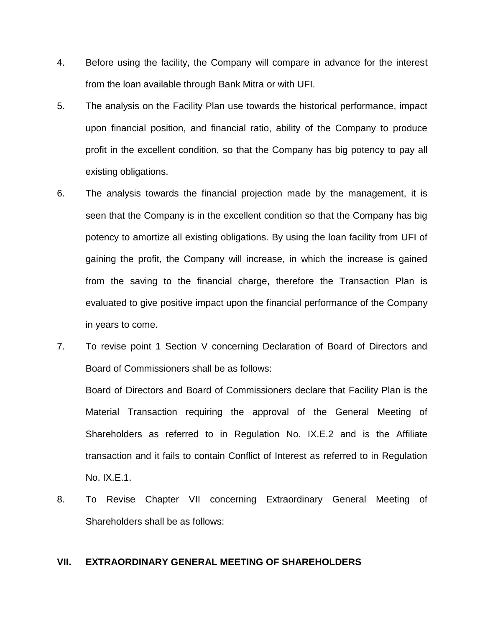- 4. Before using the facility, the Company will compare in advance for the interest from the loan available through Bank Mitra or with UFI.
- 5. The analysis on the Facility Plan use towards the historical performance, impact upon financial position, and financial ratio, ability of the Company to produce profit in the excellent condition, so that the Company has big potency to pay all existing obligations.
- 6. The analysis towards the financial projection made by the management, it is seen that the Company is in the excellent condition so that the Company has big potency to amortize all existing obligations. By using the loan facility from UFI of gaining the profit, the Company will increase, in which the increase is gained from the saving to the financial charge, therefore the Transaction Plan is evaluated to give positive impact upon the financial performance of the Company in years to come.
- 7. To revise point 1 Section V concerning Declaration of Board of Directors and Board of Commissioners shall be as follows:

Board of Directors and Board of Commissioners declare that Facility Plan is the Material Transaction requiring the approval of the General Meeting of Shareholders as referred to in Regulation No. IX.E.2 and is the Affiliate transaction and it fails to contain Conflict of Interest as referred to in Regulation No. IX.E.1.

8. To Revise Chapter VII concerning Extraordinary General Meeting of Shareholders shall be as follows:

## **VII. EXTRAORDINARY GENERAL MEETING OF SHAREHOLDERS**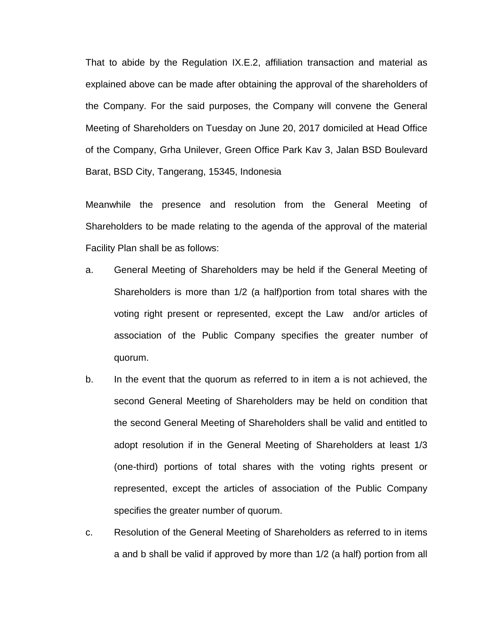That to abide by the Regulation IX.E.2, affiliation transaction and material as explained above can be made after obtaining the approval of the shareholders of the Company. For the said purposes, the Company will convene the General Meeting of Shareholders on Tuesday on June 20, 2017 domiciled at Head Office of the Company, Grha Unilever, Green Office Park Kav 3, Jalan BSD Boulevard Barat, BSD City, Tangerang, 15345, Indonesia

Meanwhile the presence and resolution from the General Meeting of Shareholders to be made relating to the agenda of the approval of the material Facility Plan shall be as follows:

- a. General Meeting of Shareholders may be held if the General Meeting of Shareholders is more than 1/2 (a half)portion from total shares with the voting right present or represented, except the Law and/or articles of association of the Public Company specifies the greater number of quorum.
- b. In the event that the quorum as referred to in item a is not achieved, the second General Meeting of Shareholders may be held on condition that the second General Meeting of Shareholders shall be valid and entitled to adopt resolution if in the General Meeting of Shareholders at least 1/3 (one-third) portions of total shares with the voting rights present or represented, except the articles of association of the Public Company specifies the greater number of quorum.
- c. Resolution of the General Meeting of Shareholders as referred to in items a and b shall be valid if approved by more than 1/2 (a half) portion from all